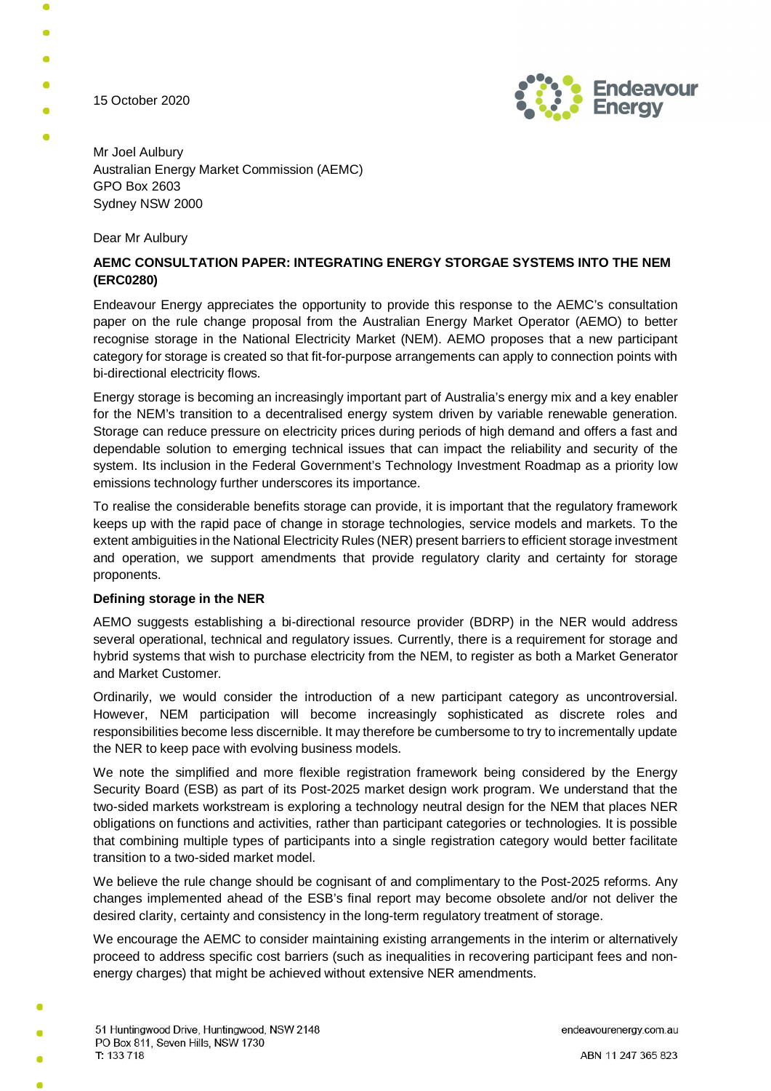15 October 2020



Mr Joel Aulbury Australian Energy Market Commission (AEMC) GPO Box 2603 Sydney NSW 2000

Dear Mr Aulbury

# **AEMC CONSULTATION PAPER: INTEGRATING ENERGY STORGAE SYSTEMS INTO THE NEM (ERC0280)**

Endeavour Energy appreciates the opportunity to provide this response to the AEMC's consultation paper on the rule change proposal from the Australian Energy Market Operator (AEMO) to better recognise storage in the National Electricity Market (NEM). AEMO proposes that a new participant category for storage is created so that fit-for-purpose arrangements can apply to connection points with bi-directional electricity flows.

Energy storage is becoming an increasingly important part of Australia's energy mix and a key enabler for the NEM's transition to a decentralised energy system driven by variable renewable generation. Storage can reduce pressure on electricity prices during periods of high demand and offers a fast and dependable solution to emerging technical issues that can impact the reliability and security of the system. Its inclusion in the Federal Government's Technology Investment Roadmap as a priority low emissions technology further underscores its importance.

To realise the considerable benefits storage can provide, it is important that the regulatory framework keeps up with the rapid pace of change in storage technologies, service models and markets. To the extent ambiguities in the National Electricity Rules (NER) present barriers to efficient storage investment and operation, we support amendments that provide regulatory clarity and certainty for storage proponents.

### **Defining storage in the NER**

AEMO suggests establishing a bi-directional resource provider (BDRP) in the NER would address several operational, technical and regulatory issues. Currently, there is a requirement for storage and hybrid systems that wish to purchase electricity from the NEM, to register as both a Market Generator and Market Customer.

Ordinarily, we would consider the introduction of a new participant category as uncontroversial. However, NEM participation will become increasingly sophisticated as discrete roles and responsibilities become less discernible. It may therefore be cumbersome to try to incrementally update the NER to keep pace with evolving business models.

We note the simplified and more flexible registration framework being considered by the Energy Security Board (ESB) as part of its Post-2025 market design work program. We understand that the two-sided markets workstream is exploring a technology neutral design for the NEM that places NER obligations on functions and activities, rather than participant categories or technologies. It is possible that combining multiple types of participants into a single registration category would better facilitate transition to a two-sided market model.

We believe the rule change should be cognisant of and complimentary to the Post-2025 reforms. Any changes implemented ahead of the ESB's final report may become obsolete and/or not deliver the desired clarity, certainty and consistency in the long-term regulatory treatment of storage.

We encourage the AEMC to consider maintaining existing arrangements in the interim or alternatively proceed to address specific cost barriers (such as inequalities in recovering participant fees and nonenergy charges) that might be achieved without extensive NER amendments.

endeavourenergy.com.au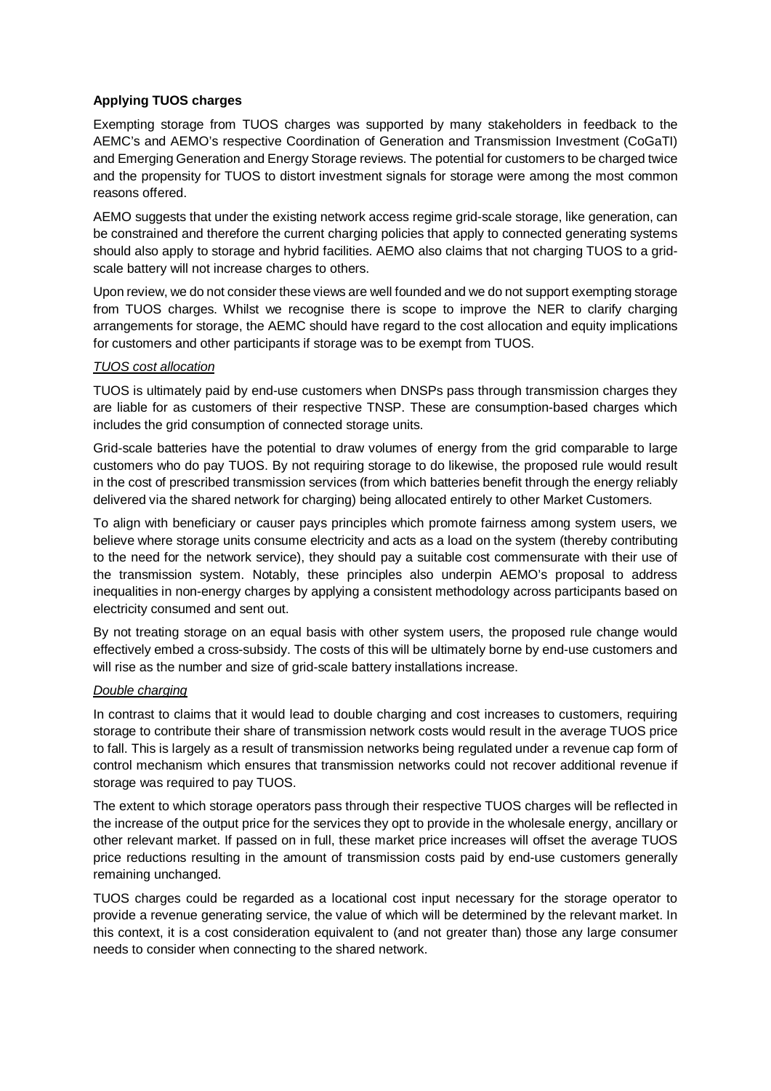## **Applying TUOS charges**

Exempting storage from TUOS charges was supported by many stakeholders in feedback to the AEMC's and AEMO's respective Coordination of Generation and Transmission Investment (CoGaTI) and Emerging Generation and Energy Storage reviews. The potential for customers to be charged twice and the propensity for TUOS to distort investment signals for storage were among the most common reasons offered.

AEMO suggests that under the existing network access regime grid-scale storage, like generation, can be constrained and therefore the current charging policies that apply to connected generating systems should also apply to storage and hybrid facilities. AEMO also claims that not charging TUOS to a gridscale battery will not increase charges to others.

Upon review, we do not consider these views are well founded and we do not support exempting storage from TUOS charges. Whilst we recognise there is scope to improve the NER to clarify charging arrangements for storage, the AEMC should have regard to the cost allocation and equity implications for customers and other participants if storage was to be exempt from TUOS.

### *TUOS cost allocation*

TUOS is ultimately paid by end-use customers when DNSPs pass through transmission charges they are liable for as customers of their respective TNSP. These are consumption-based charges which includes the grid consumption of connected storage units.

Grid-scale batteries have the potential to draw volumes of energy from the grid comparable to large customers who do pay TUOS. By not requiring storage to do likewise, the proposed rule would result in the cost of prescribed transmission services (from which batteries benefit through the energy reliably delivered via the shared network for charging) being allocated entirely to other Market Customers.

To align with beneficiary or causer pays principles which promote fairness among system users, we believe where storage units consume electricity and acts as a load on the system (thereby contributing to the need for the network service), they should pay a suitable cost commensurate with their use of the transmission system. Notably, these principles also underpin AEMO's proposal to address inequalities in non-energy charges by applying a consistent methodology across participants based on electricity consumed and sent out.

By not treating storage on an equal basis with other system users, the proposed rule change would effectively embed a cross-subsidy. The costs of this will be ultimately borne by end-use customers and will rise as the number and size of grid-scale battery installations increase.

### *Double charging*

In contrast to claims that it would lead to double charging and cost increases to customers, requiring storage to contribute their share of transmission network costs would result in the average TUOS price to fall. This is largely as a result of transmission networks being regulated under a revenue cap form of control mechanism which ensures that transmission networks could not recover additional revenue if storage was required to pay TUOS.

The extent to which storage operators pass through their respective TUOS charges will be reflected in the increase of the output price for the services they opt to provide in the wholesale energy, ancillary or other relevant market. If passed on in full, these market price increases will offset the average TUOS price reductions resulting in the amount of transmission costs paid by end-use customers generally remaining unchanged.

TUOS charges could be regarded as a locational cost input necessary for the storage operator to provide a revenue generating service, the value of which will be determined by the relevant market. In this context, it is a cost consideration equivalent to (and not greater than) those any large consumer needs to consider when connecting to the shared network.